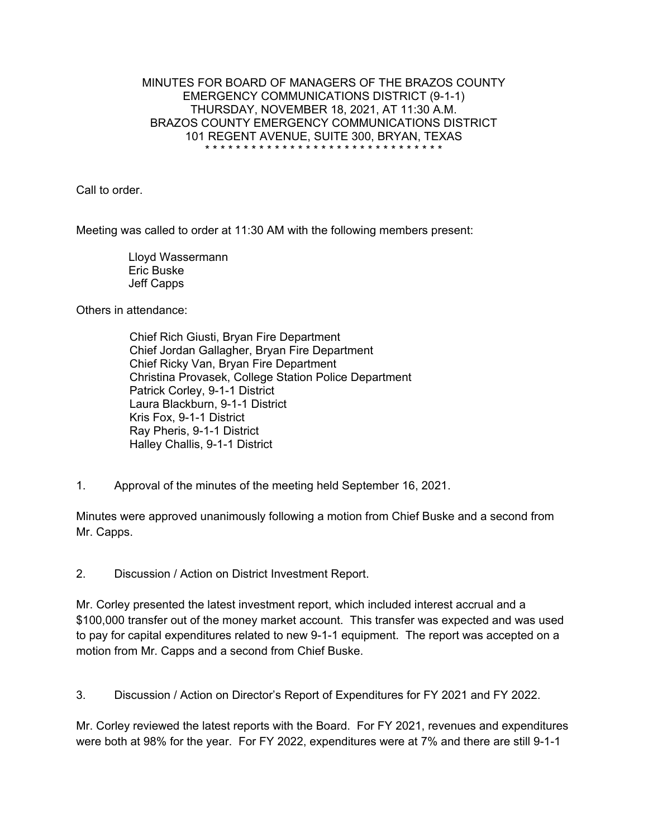## MINUTES FOR BOARD OF MANAGERS OF THE BRAZOS COUNTY EMERGENCY COMMUNICATIONS DISTRICT (9-1-1) THURSDAY, NOVEMBER 18, 2021, AT 11:30 A.M. BRAZOS COUNTY EMERGENCY COMMUNICATIONS DISTRICT 101 REGENT AVENUE, SUITE 300, BRYAN, TEXAS \* \* \* \* \* \* \* \* \* \* \* \* \* \* \* \* \* \* \* \* \* \* \* \* \* \* \* \* \* \* \*

Call to order.

Meeting was called to order at 11:30 AM with the following members present:

 Lloyd Wassermann Eric Buske Jeff Capps

Others in attendance:

Chief Rich Giusti, Bryan Fire Department Chief Jordan Gallagher, Bryan Fire Department Chief Ricky Van, Bryan Fire Department Christina Provasek, College Station Police Department Patrick Corley, 9-1-1 District Laura Blackburn, 9-1-1 District Kris Fox, 9-1-1 District Ray Pheris, 9-1-1 District Halley Challis, 9-1-1 District

1. Approval of the minutes of the meeting held September 16, 2021.

Minutes were approved unanimously following a motion from Chief Buske and a second from Mr. Capps.

2. Discussion / Action on District Investment Report.

Mr. Corley presented the latest investment report, which included interest accrual and a \$100,000 transfer out of the money market account. This transfer was expected and was used to pay for capital expenditures related to new 9-1-1 equipment. The report was accepted on a motion from Mr. Capps and a second from Chief Buske.

3. Discussion / Action on Director's Report of Expenditures for FY 2021 and FY 2022.

Mr. Corley reviewed the latest reports with the Board. For FY 2021, revenues and expenditures were both at 98% for the year. For FY 2022, expenditures were at 7% and there are still 9-1-1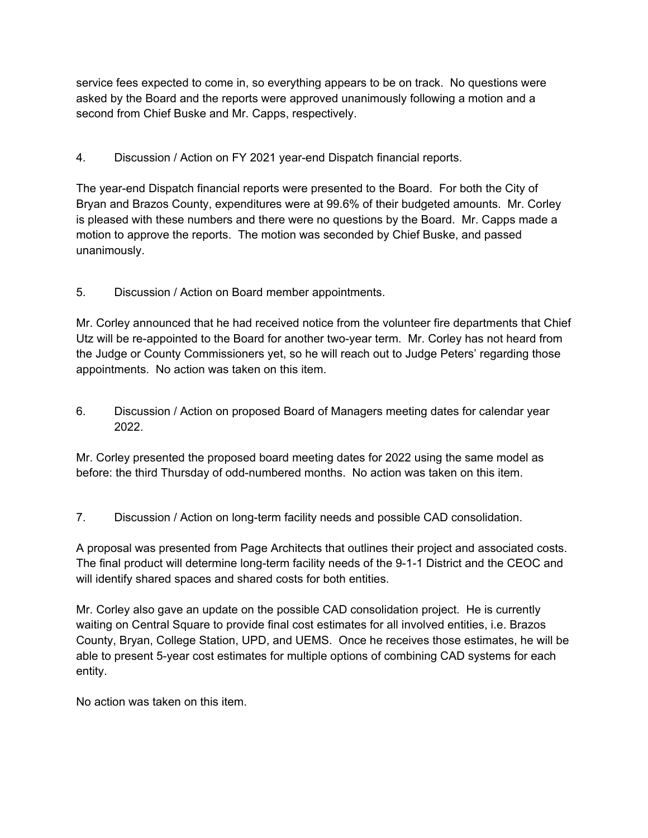service fees expected to come in, so everything appears to be on track. No questions were asked by the Board and the reports were approved unanimously following a motion and a second from Chief Buske and Mr. Capps, respectively.

4. Discussion / Action on FY 2021 year-end Dispatch financial reports.

The year-end Dispatch financial reports were presented to the Board. For both the City of Bryan and Brazos County, expenditures were at 99.6% of their budgeted amounts. Mr. Corley is pleased with these numbers and there were no questions by the Board. Mr. Capps made a motion to approve the reports. The motion was seconded by Chief Buske, and passed unanimously.

5. Discussion / Action on Board member appointments.

Mr. Corley announced that he had received notice from the volunteer fire departments that Chief Utz will be re-appointed to the Board for another two-year term. Mr. Corley has not heard from the Judge or County Commissioners yet, so he will reach out to Judge Peters' regarding those appointments. No action was taken on this item.

6. Discussion / Action on proposed Board of Managers meeting dates for calendar year 2022.

Mr. Corley presented the proposed board meeting dates for 2022 using the same model as before: the third Thursday of odd-numbered months. No action was taken on this item.

7. Discussion / Action on long-term facility needs and possible CAD consolidation.

A proposal was presented from Page Architects that outlines their project and associated costs. The final product will determine long-term facility needs of the 9-1-1 District and the CEOC and will identify shared spaces and shared costs for both entities.

Mr. Corley also gave an update on the possible CAD consolidation project. He is currently waiting on Central Square to provide final cost estimates for all involved entities, i.e. Brazos County, Bryan, College Station, UPD, and UEMS. Once he receives those estimates, he will be able to present 5-year cost estimates for multiple options of combining CAD systems for each entity.

No action was taken on this item.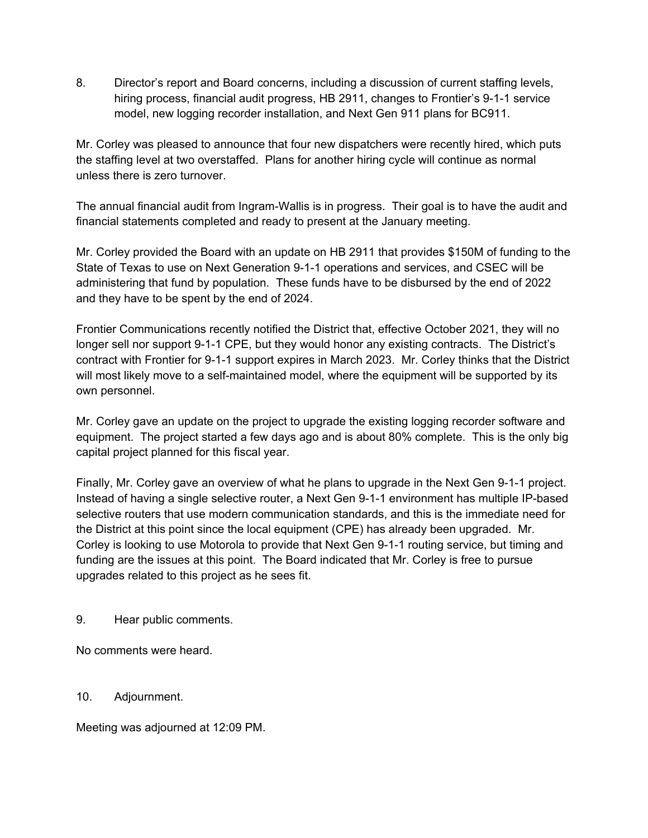8. Director's report and Board concerns, including a discussion of current staffing levels, hiring process, financial audit progress, HB 2911, changes to Frontier's 9-1-1 service model, new logging recorder installation, and Next Gen 911 plans for BC911.

Mr. Corley was pleased to announce that four new dispatchers were recently hired, which puts the staffing level at two overstaffed. Plans for another hiring cycle will continue as normal unless there is zero turnover.

The annual financial audit from Ingram-Wallis is in progress. Their goal is to have the audit and financial statements completed and ready to present at the January meeting.

Mr. Corley provided the Board with an update on HB 2911 that provides \$150M of funding to the State of Texas to use on Next Generation 9-1-1 operations and services, and CSEC will be administering that fund by population. These funds have to be disbursed by the end of 2022 and they have to be spent by the end of 2024.

Frontier Communications recently notified the District that, effective October 2021, they will no longer sell nor support 9-1-1 CPE, but they would honor any existing contracts. The District's contract with Frontier for 9-1-1 support expires in March 2023. Mr. Corley thinks that the District will most likely move to a self-maintained model, where the equipment will be supported by its own personnel.

Mr. Corley gave an update on the project to upgrade the existing logging recorder software and equipment. The project started a few days ago and is about 80% complete. This is the only big capital project planned for this fiscal year.

Finally, Mr. Corley gave an overview of what he plans to upgrade in the Next Gen 9-1-1 project. Instead of having a single selective router, a Next Gen 9-1-1 environment has multiple IP-based selective routers that use modern communication standards, and this is the immediate need for the District at this point since the local equipment (CPE) has already been upgraded. Mr. Corley is looking to use Motorola to provide that Next Gen 9-1-1 routing service, but timing and funding are the issues at this point. The Board indicated that Mr. Corley is free to pursue upgrades related to this project as he sees fit.

9. Hear public comments.

No comments were heard.

10. Adjournment.

Meeting was adjourned at 12:09 PM.